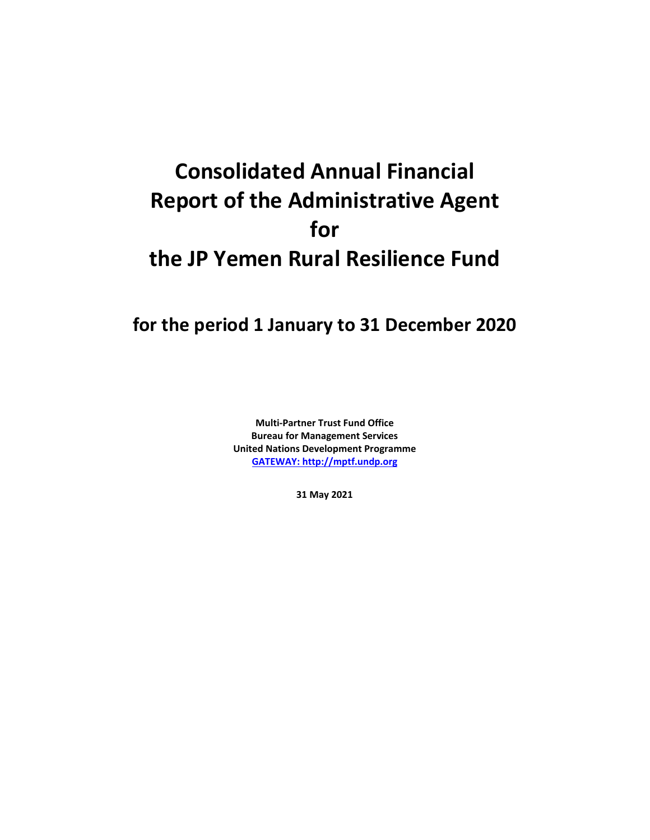## **Consolidated Annual Financial Report of the Administrative Agent for the JP Yemen Rural Resilience Fund**

## **for the period 1 January to 31 December 2020**

**Multi-Partner Trust Fund Office Bureau for Management Services United Nations Development Programme [GATEWAY: http://mptf.undp.org](http://mptf.undp.org/)**

**31 May 2021**